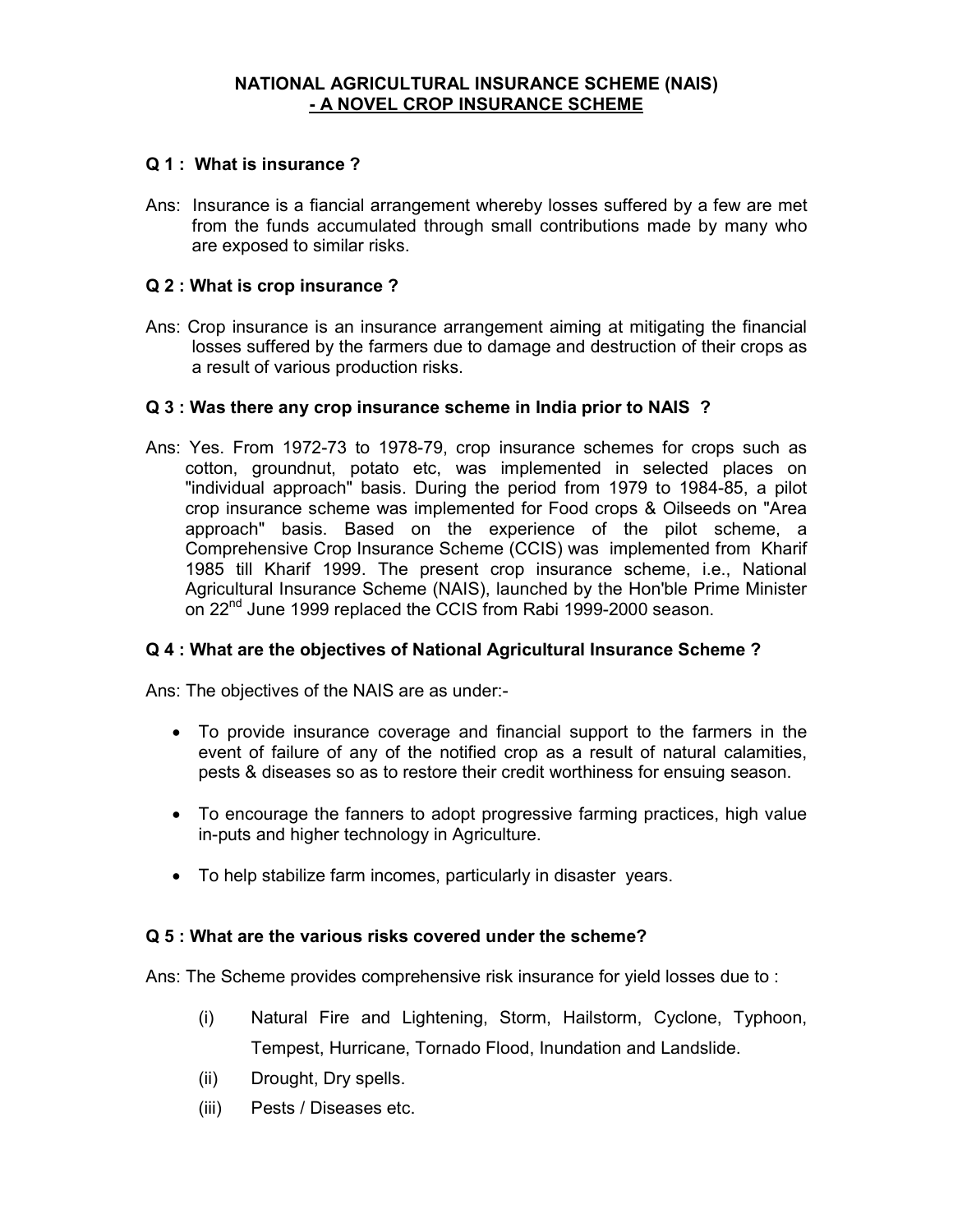# NATIONAL AGRICULTURAL INSURANCE SCHEME (NAIS) - A NOVEL CROP INSURANCE SCHEME

## Q 1 : What is insurance ?

Ans: Insurance is a fiancial arrangement whereby losses suffered by a few are met from the funds accumulated through small contributions made by many who are exposed to similar risks.

#### Q 2 : What is crop insurance ?

Ans: Crop insurance is an insurance arrangement aiming at mitigating the financial losses suffered by the farmers due to damage and destruction of their crops as a result of various production risks.

## Q 3 : Was there any crop insurance scheme in India prior to NAIS ?

Ans: Yes. From 1972-73 to 1978-79, crop insurance schemes for crops such as cotton, groundnut, potato etc, was implemented in selected places on "individual approach" basis. During the period from 1979 to 1984-85, a pilot crop insurance scheme was implemented for Food crops & Oilseeds on "Area approach" basis. Based on the experience of the pilot scheme, a Comprehensive Crop Insurance Scheme (CCIS) was implemented from Kharif 1985 till Kharif 1999. The present crop insurance scheme, i.e., National Agricultural Insurance Scheme (NAIS), launched by the Hon'ble Prime Minister on 22<sup>nd</sup> June 1999 replaced the CCIS from Rabi 1999-2000 season.

#### Q 4 : What are the objectives of National Agricultural Insurance Scheme ?

Ans: The objectives of the NAIS are as under:-

- To provide insurance coverage and financial support to the farmers in the event of failure of any of the notified crop as a result of natural calamities, pests & diseases so as to restore their credit worthiness for ensuing season.
- To encourage the fanners to adopt progressive farming practices, high value in-puts and higher technology in Agriculture.
- To help stabilize farm incomes, particularly in disaster years.

## Q 5 : What are the various risks covered under the scheme?

Ans: The Scheme provides comprehensive risk insurance for yield losses due to :

- (i) Natural Fire and Lightening, Storm, Hailstorm, Cyclone, Typhoon, Tempest, Hurricane, Tornado Flood, Inundation and Landslide.
- (ii) Drought, Dry spells.
- (iii) Pests / Diseases etc.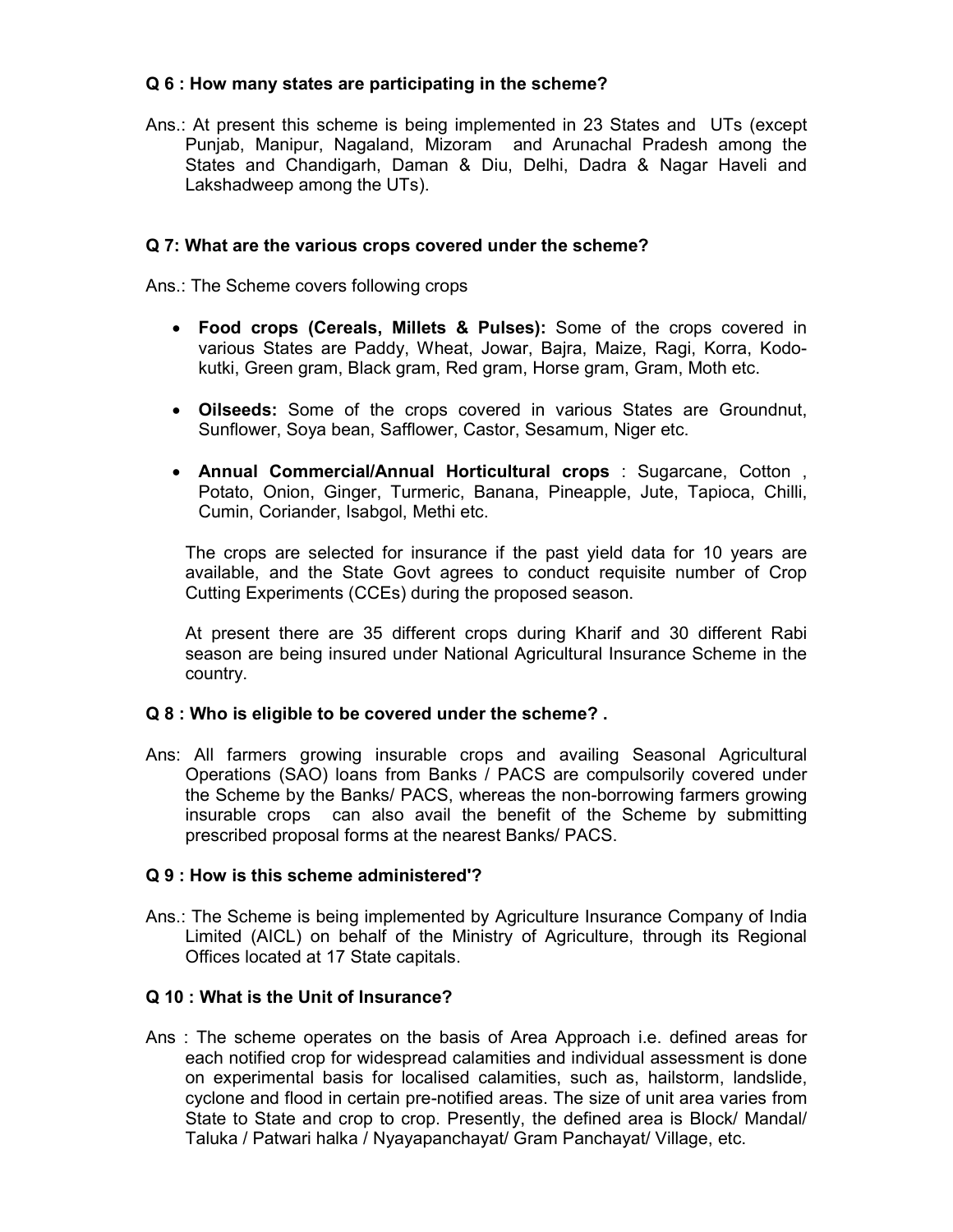# Q 6 : How many states are participating in the scheme?

Ans.: At present this scheme is being implemented in 23 States and UTs (except Punjab, Manipur, Nagaland, Mizoram and Arunachal Pradesh among the States and Chandigarh, Daman & Diu, Delhi, Dadra & Nagar Haveli and Lakshadweep among the UTs).

## Q 7: What are the various crops covered under the scheme?

Ans.: The Scheme covers following crops

- Food crops (Cereals, Millets & Pulses): Some of the crops covered in various States are Paddy, Wheat, Jowar, Bajra, Maize, Ragi, Korra, Kodokutki, Green gram, Black gram, Red gram, Horse gram, Gram, Moth etc.
- Oilseeds: Some of the crops covered in various States are Groundnut, Sunflower, Soya bean, Safflower, Castor, Sesamum, Niger etc.
- Annual Commercial/Annual Horticultural crops : Sugarcane, Cotton , Potato, Onion, Ginger, Turmeric, Banana, Pineapple, Jute, Tapioca, Chilli, Cumin, Coriander, Isabgol, Methi etc.

The crops are selected for insurance if the past yield data for 10 years are available, and the State Govt agrees to conduct requisite number of Crop Cutting Experiments (CCEs) during the proposed season.

At present there are 35 different crops during Kharif and 30 different Rabi season are being insured under National Agricultural Insurance Scheme in the country.

#### Q 8 : Who is eligible to be covered under the scheme?.

Ans: All farmers growing insurable crops and availing Seasonal Agricultural Operations (SAO) loans from Banks / PACS are compulsorily covered under the Scheme by the Banks/ PACS, whereas the non-borrowing farmers growing insurable crops can also avail the benefit of the Scheme by submitting prescribed proposal forms at the nearest Banks/ PACS.

# Q 9 : How is this scheme administered'?

Ans.: The Scheme is being implemented by Agriculture Insurance Company of India Limited (AICL) on behalf of the Ministry of Agriculture, through its Regional Offices located at 17 State capitals.

# Q 10 : What is the Unit of Insurance?

Ans : The scheme operates on the basis of Area Approach i.e. defined areas for each notified crop for widespread calamities and individual assessment is done on experimental basis for localised calamities, such as, hailstorm, landslide, cyclone and flood in certain pre-notified areas. The size of unit area varies from State to State and crop to crop. Presently, the defined area is Block/ Mandal/ Taluka / Patwari halka / Nyayapanchayat/ Gram Panchayat/ Village, etc.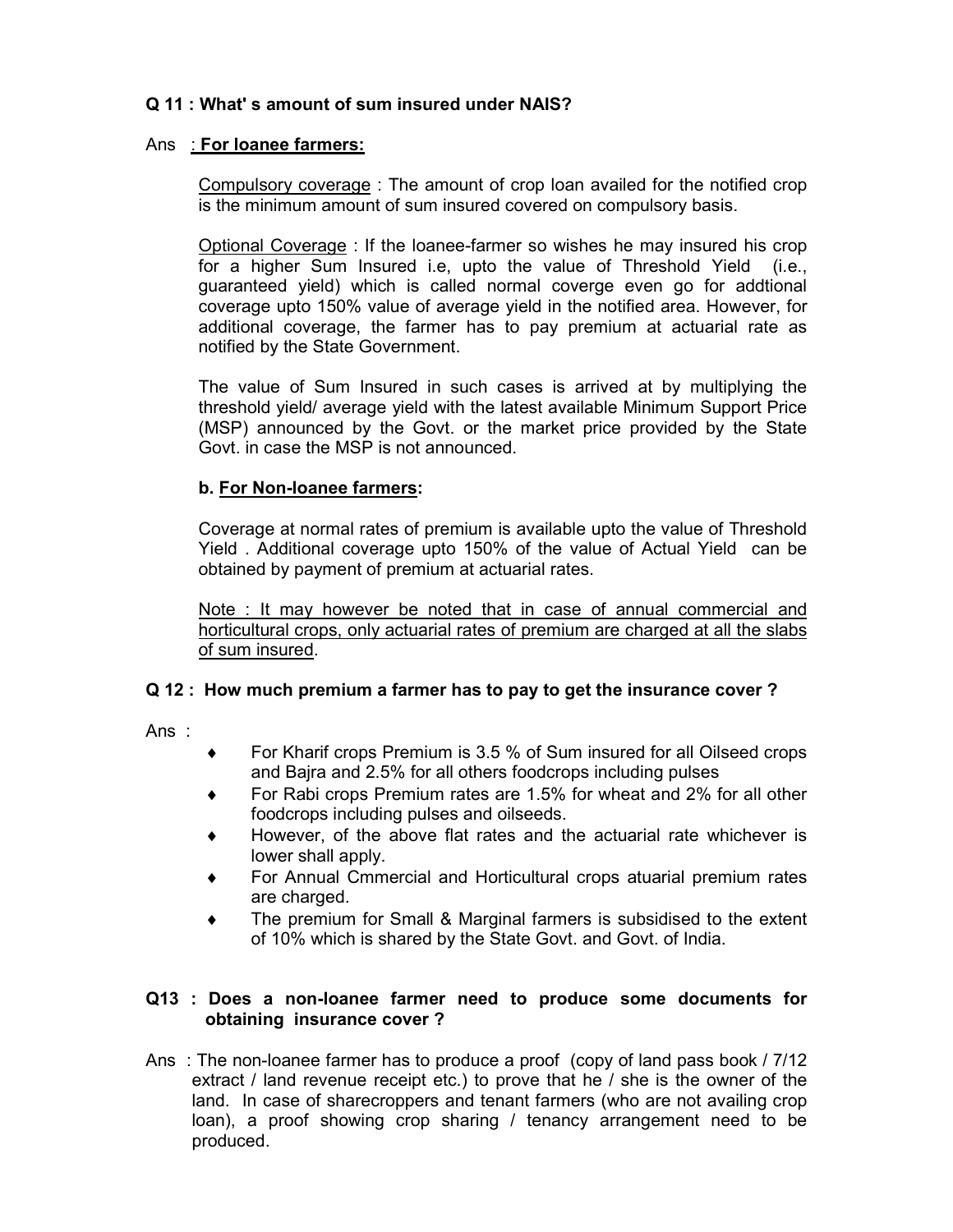# Q 11 : What' s amount of sum insured under NAIS?

# Ans : For loanee farmers:

Compulsory coverage : The amount of crop loan availed for the notified crop is the minimum amount of sum insured covered on compulsory basis.

Optional Coverage : If the loanee-farmer so wishes he may insured his crop for a higher Sum Insured i.e, upto the value of Threshold Yield (i.e., guaranteed yield) which is called normal coverge even go for addtional coverage upto 150% value of average yield in the notified area. However, for additional coverage, the farmer has to pay premium at actuarial rate as notified by the State Government.

The value of Sum Insured in such cases is arrived at by multiplying the threshold yield/ average yield with the latest available Minimum Support Price (MSP) announced by the Govt. or the market price provided by the State Govt. in case the MSP is not announced.

# b. For Non-loanee farmers:

Coverage at normal rates of premium is available upto the value of Threshold Yield . Additional coverage upto 150% of the value of Actual Yield can be obtained by payment of premium at actuarial rates.

Note : It may however be noted that in case of annual commercial and horticultural crops, only actuarial rates of premium are charged at all the slabs of sum insured.

# Q 12 : How much premium a farmer has to pay to get the insurance cover ?

Ans :

- ♦ For Kharif crops Premium is 3.5 % of Sum insured for all Oilseed crops and Bajra and 2.5% for all others foodcrops including pulses
- For Rabi crops Premium rates are 1.5% for wheat and 2% for all other foodcrops including pulses and oilseeds.
- However, of the above flat rates and the actuarial rate whichever is lower shall apply.
- For Annual Cmmercial and Horticultural crops atuarial premium rates are charged.
- ♦ The premium for Small & Marginal farmers is subsidised to the extent of 10% which is shared by the State Govt. and Govt. of India.

## Q13 : Does a non-loanee farmer need to produce some documents for obtaining insurance cover ?

Ans : The non-loanee farmer has to produce a proof (copy of land pass book / 7/12 extract / land revenue receipt etc.) to prove that he / she is the owner of the land. In case of sharecroppers and tenant farmers (who are not availing crop loan), a proof showing crop sharing / tenancy arrangement need to be produced.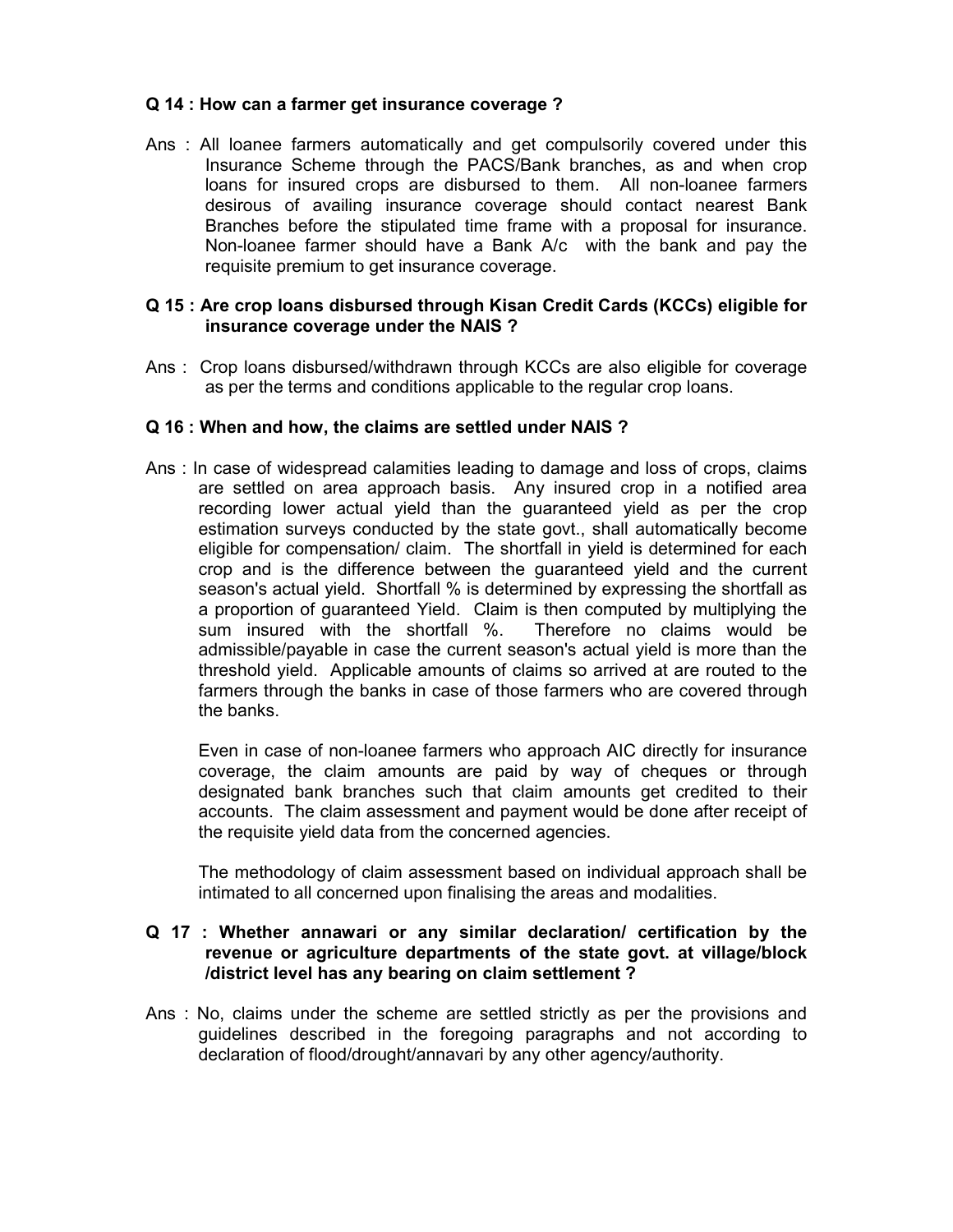# Q 14 : How can a farmer get insurance coverage ?

Ans : All loanee farmers automatically and get compulsorily covered under this Insurance Scheme through the PACS/Bank branches, as and when crop loans for insured crops are disbursed to them. All non-loanee farmers desirous of availing insurance coverage should contact nearest Bank Branches before the stipulated time frame with a proposal for insurance. Non-loanee farmer should have a Bank A/c with the bank and pay the requisite premium to get insurance coverage.

## Q 15 : Are crop loans disbursed through Kisan Credit Cards (KCCs) eligible for insurance coverage under the NAIS ?

Ans : Crop loans disbursed/withdrawn through KCCs are also eligible for coverage as per the terms and conditions applicable to the regular crop loans.

## Q 16 : When and how, the claims are settled under NAIS ?

Ans : In case of widespread calamities leading to damage and loss of crops, claims are settled on area approach basis. Any insured crop in a notified area recording lower actual yield than the guaranteed yield as per the crop estimation surveys conducted by the state govt., shall automatically become eligible for compensation/ claim. The shortfall in yield is determined for each crop and is the difference between the guaranteed yield and the current season's actual yield. Shortfall % is determined by expressing the shortfall as a proportion of guaranteed Yield. Claim is then computed by multiplying the sum insured with the shortfall %. Therefore no claims would be sum insured with the shortfall %. admissible/payable in case the current season's actual yield is more than the threshold yield. Applicable amounts of claims so arrived at are routed to the farmers through the banks in case of those farmers who are covered through the banks.

Even in case of non-loanee farmers who approach AIC directly for insurance coverage, the claim amounts are paid by way of cheques or through designated bank branches such that claim amounts get credited to their accounts. The claim assessment and payment would be done after receipt of the requisite yield data from the concerned agencies.

The methodology of claim assessment based on individual approach shall be intimated to all concerned upon finalising the areas and modalities.

#### Q 17 : Whether annawari or any similar declaration/ certification by the revenue or agriculture departments of the state govt. at village/block /district level has any bearing on claim settlement ?

Ans : No, claims under the scheme are settled strictly as per the provisions and guidelines described in the foregoing paragraphs and not according to declaration of flood/drought/annavari by any other agency/authority.